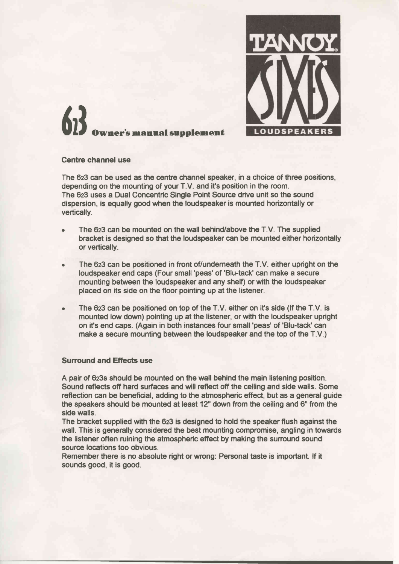

## $\binom{1}{1}$ vner's manual supplement

## Centre channel use

The 623 can be used as the centre channel speaker, in a choice of three positions, depending on the mounting of your T.V. and it's position in the room. The 623 uses a Dual Concentric Single Point Source drive unit so the sound dispersion, is equally good when the loudspeaker is mounted horizontally or vertically.

- . The 623 can be mounted on the wall behind/above the T.V. The supplied bracket is designed so that the loudspeaker can be mounted either horizontally or vertically.
- The 623 can be positioned in front of/underneath the  $T.V.$  either upright on the loudspeaker end caps (Four small 'peas' of 'Blu-tack' can make a secure mounting between the loudspeaker and any shelf) or with the loudspeaker placed on its side on the floor pointing up at the listener.
- The 623 can be positioned on top of the T.V. either on it's side (if the T.V. is mounted low down) pointing up at the listener, or with the loudspeaker upright on it's end caps. (Again in both instances four small 'peas' of 'Blu-tack' can make a secure mounting between the loudspeaker and the top of the T.V.)

## Surround and Efiects use

A pair of 6z3s should be mounted on the wall behind the main listening position. Sound reflects off hard surfaces and will reflect off the ceiling and side walls. Some reflection can be beneficial, adding to the atmospheric effect, but as a general guide the speakers should be mounted at least 12" down from the ceiling and 6" from the side walls.

The bracket supplied with the 623 is designed to hold the speaker flush against the wall. This is generally considered the best mounting compromise, angling in towards the listener often ruining the atmospheric effect by making the surround sound source locations too obvious.

Remember there is no absolute right or wrong: Personal taste is important. lf it sounds good, it is good.